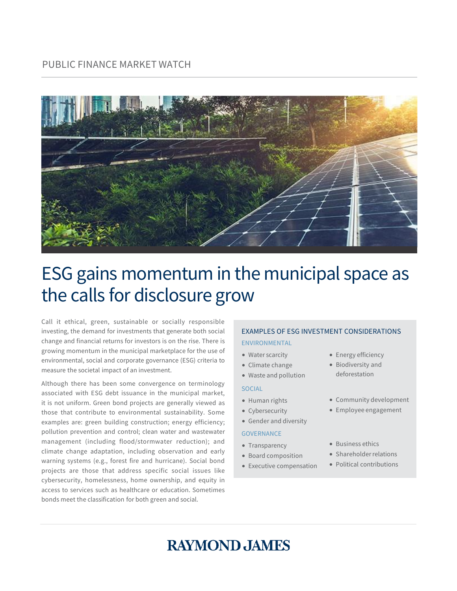

# ESG gains momentum in the municipal space as the calls for disclosure grow

Call it ethical, green, sustainable or socially responsible investing, the demand for investments that generate both social change and financial returns for investors is on the rise. There is growing momentum in the municipal marketplace for the use of environmental, social and corporate governance (ESG) criteria to measure the societal impact of an investment.

Although there has been some convergence on terminology associated with ESG debt issuance in the municipal market, it is not uniform. Green bond projects are generally viewed as those that contribute to environmental sustainability. Some examples are: green building construction; energy efficiency; pollution prevention and control; clean water and wastewater management (including flood/stormwater reduction); and climate change adaptation, including observation and early warning systems (e.g., forest fire and hurricane). Social bond projects are those that address specific social issues like cybersecurity, homelessness, home ownership, and equity in access to services such as healthcare or education. Sometimes bonds meet the classification for both green and social.

#### EXAMPLES OF ESG INVESTMENT CONSIDERATIONS ENVIRONMENTAL

- Water scarcity
- 
- Climate change
- Waste and pollution

#### **SOCIAL**

- Human rights
- Cybersecurity
- Gender and diversity

#### **GOVERNANCE**

- Transparency
- Board composition
- Executive compensation
- Energy efficiency
- Biodiversity and deforestation
- Community development
- Employee engagement
- Business ethics
- Shareholder relations
- Political contributions

## **RAYMOND JAMES**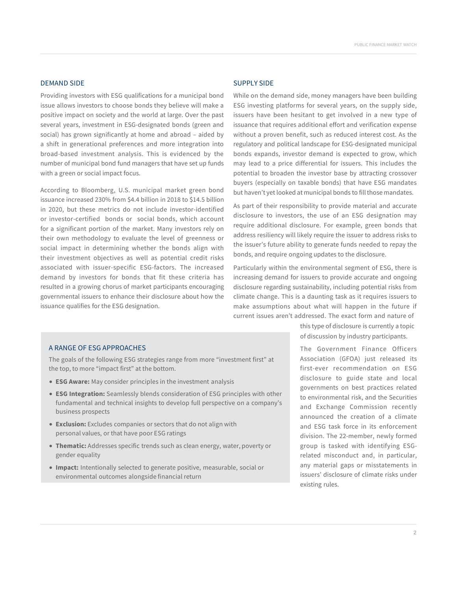#### DEMAND SIDE

Providing investors with ESG qualifications for a municipal bond issue allows investors to choose bonds they believe will make a positive impact on society and the world at large. Over the past several years, investment in ESG-designated bonds (green and social) has grown significantly at home and abroad – aided by a shift in generational preferences and more integration into broad-based investment analysis. This is evidenced by the number of municipal bond fund managers that have set up funds with a green or social impact focus.

According to Bloomberg, U.S. municipal market green bond issuance increased 230% from \$4.4 billion in 2018 to \$14.5 billion in 2020, but these metrics do not include investor-identified or investor-certified bonds or social bonds, which account for a significant portion of the market. Many investors rely on their own methodology to evaluate the level of greenness or social impact in determining whether the bonds align with their investment objectives as well as potential credit risks associated with issuer-specific ESG-factors. The increased demand by investors for bonds that fit these criteria has resulted in a growing chorus of market participants encouraging governmental issuers to enhance their disclosure about how the issuance qualifies for the ESG designation.

#### SUPPLY SIDE

While on the demand side, money managers have been building ESG investing platforms for several years, on the supply side, issuers have been hesitant to get involved in a new type of issuance that requires additional effort and verification expense without a proven benefit, such as reduced interest cost. As the regulatory and political landscape for ESG-designated municipal bonds expands, investor demand is expected to grow, which may lead to a price differential for issuers. This includes the potential to broaden the investor base by attracting crossover buyers (especially on taxable bonds) that have ESG mandates but haven't yet looked at municipal bonds to fill those mandates.

As part of their responsibility to provide material and accurate disclosure to investors, the use of an ESG designation may require additional disclosure. For example, green bonds that address resiliency will likely require the issuer to address risks to the issuer's future ability to generate funds needed to repay the bonds, and require ongoing updates to the disclosure.

Particularly within the environmental segment of ESG, there is increasing demand for issuers to provide accurate and ongoing disclosure regarding sustainability, including potential risks from climate change. This is a daunting task as it requires issuers to make assumptions about what will happen in the future if current issues aren't addressed. The exact form and nature of

> this type of disclosure is currently a topic of discussion by industry participants.

#### The Government Finance Officers Association (GFOA) just released its first-ever recommendation on ESG disclosure to guide state and local governments on best practices related to environmental risk, and the Securities and Exchange Commission recently announced the creation of a climate and ESG task force in its enforcement division. The 22-member, newly formed group is tasked with identifying ESGrelated misconduct and, in particular, any material gaps or misstatements in issuers' disclosure of climate risks under existing rules.

#### A RANGE OF ESG APPROACHES

The goals of the following ESG strategies range from more "investment first" at the top, to more "impact first" at the bottom.

- **ESG Aware:** May consider principles in the investment analysis
- **ESG Integration:** Seamlessly blends consideration of ESG principles with other fundamental and technical insights to develop full perspective on a company's business prospects
- **Exclusion:** Excludes companies or sectors that do not align with personal values, or that have poor ESG ratings
- **Thematic:** Addresses specific trends such as clean energy, water, poverty or gender equality
- **Impact:** Intentionally selected to generate positive, measurable, social or environmental outcomes alongside financial return